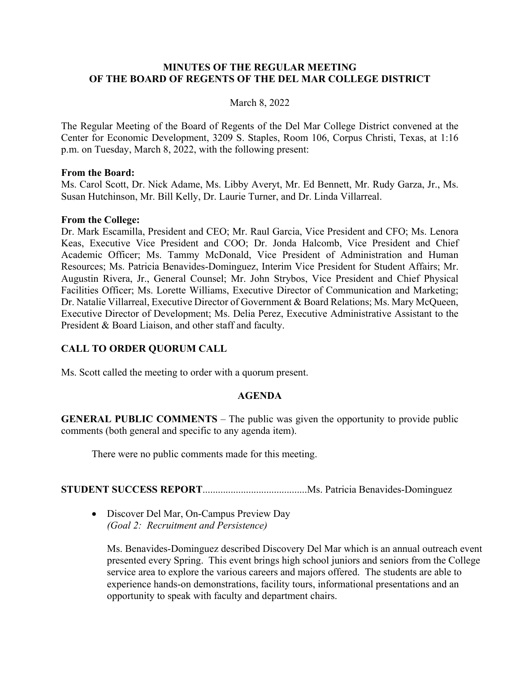#### **MINUTES OF THE REGULAR MEETING OF THE BOARD OF REGENTS OF THE DEL MAR COLLEGE DISTRICT**

#### March 8, 2022

The Regular Meeting of the Board of Regents of the Del Mar College District convened at the Center for Economic Development, 3209 S. Staples, Room 106, Corpus Christi, Texas, at 1:16 p.m. on Tuesday, March 8, 2022, with the following present:

#### **From the Board:**

Ms. Carol Scott, Dr. Nick Adame, Ms. Libby Averyt, Mr. Ed Bennett, Mr. Rudy Garza, Jr., Ms. Susan Hutchinson, Mr. Bill Kelly, Dr. Laurie Turner, and Dr. Linda Villarreal.

#### **From the College:**

Dr. Mark Escamilla, President and CEO; Mr. Raul Garcia, Vice President and CFO; Ms. Lenora Keas, Executive Vice President and COO; Dr. Jonda Halcomb, Vice President and Chief Academic Officer; Ms. Tammy McDonald, Vice President of Administration and Human Resources; Ms. Patricia Benavides-Dominguez, Interim Vice President for Student Affairs; Mr. Augustin Rivera, Jr., General Counsel; Mr. John Strybos, Vice President and Chief Physical Facilities Officer; Ms. Lorette Williams, Executive Director of Communication and Marketing; Dr. Natalie Villarreal, Executive Director of Government & Board Relations; Ms. Mary McQueen, Executive Director of Development; Ms. Delia Perez, Executive Administrative Assistant to the President & Board Liaison, and other staff and faculty.

#### **CALL TO ORDER QUORUM CALL**

Ms. Scott called the meeting to order with a quorum present.

#### **AGENDA**

**GENERAL PUBLIC COMMENTS** – The public was given the opportunity to provide public comments (both general and specific to any agenda item).

There were no public comments made for this meeting.

### **STUDENT SUCCESS REPORT**.........................................Ms. Patricia Benavides-Dominguez

• Discover Del Mar, On-Campus Preview Day *(Goal 2: Recruitment and Persistence)*

Ms. Benavides-Dominguez described Discovery Del Mar which is an annual outreach event presented every Spring. This event brings high school juniors and seniors from the College service area to explore the various careers and majors offered. The students are able to experience hands-on demonstrations, facility tours, informational presentations and an opportunity to speak with faculty and department chairs.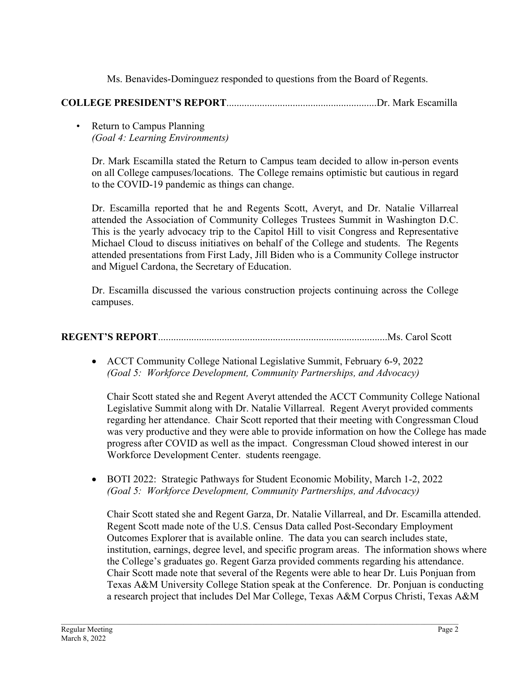Ms. Benavides-Dominguez responded to questions from the Board of Regents.

## **COLLEGE PRESIDENT'S REPORT**...........................................................Dr. Mark Escamilla

• Return to Campus Planning  *(Goal 4: Learning Environments)* 

Dr. Mark Escamilla stated the Return to Campus team decided to allow in-person events on all College campuses/locations. The College remains optimistic but cautious in regard to the COVID-19 pandemic as things can change.

Dr. Escamilla reported that he and Regents Scott, Averyt, and Dr. Natalie Villarreal attended the Association of Community Colleges Trustees Summit in Washington D.C. This is the yearly advocacy trip to the Capitol Hill to visit Congress and Representative Michael Cloud to discuss initiatives on behalf of the College and students. The Regents attended presentations from First Lady, Jill Biden who is a Community College instructor and Miguel Cardona, the Secretary of Education.

Dr. Escamilla discussed the various construction projects continuing across the College campuses.

## **REGENT'S REPORT**..........................................................................................Ms. Carol Scott

• ACCT Community College National Legislative Summit, February 6-9, 2022 *(Goal 5: Workforce Development, Community Partnerships, and Advocacy)* 

Chair Scott stated she and Regent Averyt attended the ACCT Community College National Legislative Summit along with Dr. Natalie Villarreal. Regent Averyt provided comments regarding her attendance. Chair Scott reported that their meeting with Congressman Cloud was very productive and they were able to provide information on how the College has made progress after COVID as well as the impact. Congressman Cloud showed interest in our Workforce Development Center. students reengage.

• BOTI 2022: Strategic Pathways for Student Economic Mobility, March 1-2, 2022 *(Goal 5: Workforce Development, Community Partnerships, and Advocacy)* 

\_\_\_\_\_\_\_\_\_\_\_\_\_\_\_\_\_\_\_\_\_\_\_\_\_\_\_\_\_\_\_\_\_\_\_\_\_\_\_\_\_\_\_\_\_\_\_\_\_\_\_\_\_\_\_\_\_\_\_\_\_\_\_\_\_\_\_\_\_\_\_\_\_\_\_\_\_\_\_\_\_\_\_\_\_\_\_\_\_\_\_\_\_\_\_\_\_\_\_\_\_\_\_\_

Chair Scott stated she and Regent Garza, Dr. Natalie Villarreal, and Dr. Escamilla attended. Regent Scott made note of the U.S. Census Data called Post-Secondary Employment Outcomes Explorer that is available online. The data you can search includes state, institution, earnings, degree level, and specific program areas. The information shows where the College's graduates go. Regent Garza provided comments regarding his attendance. Chair Scott made note that several of the Regents were able to hear Dr. Luis Ponjuan from Texas A&M University College Station speak at the Conference. Dr. Ponjuan is conducting a research project that includes Del Mar College, Texas A&M Corpus Christi, Texas A&M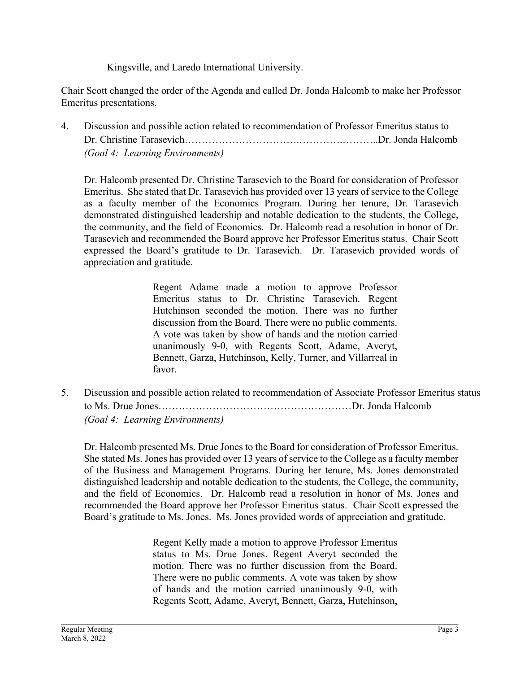Kingsville, and Laredo International University.

Chair Scott changed the order of the Agenda and called Dr. Jonda Halcomb to make her Professor Emeritus presentations.

4. Discussion and possible action related to recommendation of Professor Emeritus status to Dr. Christine Tarasevich…………………………….………….………..Dr. Jonda Halcomb  *(Goal 4: Learning Environments)* 

Dr. Halcomb presented Dr. Christine Tarasevich to the Board for consideration of Professor Emeritus. She stated that Dr. Tarasevich has provided over 13 years of service to the College as a faculty member of the Economics Program. During her tenure, Dr. Tarasevich demonstrated distinguished leadership and notable dedication to the students, the College, the community, and the field of Economics. Dr. Halcomb read a resolution in honor of Dr. Tarasevich and recommended the Board approve her Professor Emeritus status. Chair Scott expressed the Board's gratitude to Dr. Tarasevich. Dr. Tarasevich provided words of appreciation and gratitude.

> Regent Adame made a motion to approve Professor Emeritus status to Dr. Christine Tarasevich. Regent Hutchinson seconded the motion. There was no further discussion from the Board. There were no public comments. A vote was taken by show of hands and the motion carried unanimously 9-0, with Regents Scott, Adame, Averyt, Bennett, Garza, Hutchinson, Kelly, Turner, and Villarreal in favor.

5. Discussion and possible action related to recommendation of Associate Professor Emeritus status to Ms. Drue Jones…………………………………………………Dr. Jonda Halcomb  *(Goal 4: Learning Environments)* 

Dr. Halcomb presented Ms. Drue Jones to the Board for consideration of Professor Emeritus. She stated Ms. Jones has provided over 13 years of service to the College as a faculty member of the Business and Management Programs. During her tenure, Ms. Jones demonstrated distinguished leadership and notable dedication to the students, the College, the community, and the field of Economics. Dr. Halcomb read a resolution in honor of Ms. Jones and recommended the Board approve her Professor Emeritus status. Chair Scott expressed the Board's gratitude to Ms. Jones. Ms. Jones provided words of appreciation and gratitude.

> Regent Kelly made a motion to approve Professor Emeritus status to Ms. Drue Jones. Regent Averyt seconded the motion. There was no further discussion from the Board. There were no public comments. A vote was taken by show of hands and the motion carried unanimously 9-0, with Regents Scott, Adame, Averyt, Bennett, Garza, Hutchinson,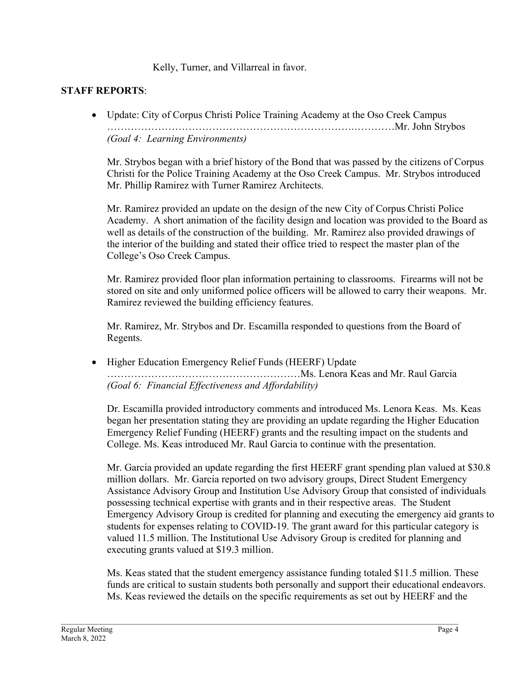Kelly, Turner, and Villarreal in favor.

### **STAFF REPORTS**:

• Update: City of Corpus Christi Police Training Academy at the Oso Creek Campus ……………………………………………………………….…………Mr. John Strybos *(Goal 4: Learning Environments)* 

Mr. Strybos began with a brief history of the Bond that was passed by the citizens of Corpus Christi for the Police Training Academy at the Oso Creek Campus. Mr. Strybos introduced Mr. Phillip Ramirez with Turner Ramirez Architects.

Mr. Ramirez provided an update on the design of the new City of Corpus Christi Police Academy. A short animation of the facility design and location was provided to the Board as well as details of the construction of the building. Mr. Ramirez also provided drawings of the interior of the building and stated their office tried to respect the master plan of the College's Oso Creek Campus.

Mr. Ramirez provided floor plan information pertaining to classrooms. Firearms will not be stored on site and only uniformed police officers will be allowed to carry their weapons. Mr. Ramirez reviewed the building efficiency features.

Mr. Ramirez, Mr. Strybos and Dr. Escamilla responded to questions from the Board of Regents.

• Higher Education Emergency Relief Funds (HEERF) Update …………………………………………………Ms. Lenora Keas and Mr. Raul Garcia *(Goal 6: Financial Effectiveness and Affordability)*

Dr. Escamilla provided introductory comments and introduced Ms. Lenora Keas. Ms. Keas began her presentation stating they are providing an update regarding the Higher Education Emergency Relief Funding (HEERF) grants and the resulting impact on the students and College. Ms. Keas introduced Mr. Raul Garcia to continue with the presentation.

Mr. Garcia provided an update regarding the first HEERF grant spending plan valued at \$30.8 million dollars. Mr. Garcia reported on two advisory groups, Direct Student Emergency Assistance Advisory Group and Institution Use Advisory Group that consisted of individuals possessing technical expertise with grants and in their respective areas. The Student Emergency Advisory Group is credited for planning and executing the emergency aid grants to students for expenses relating to COVID-19. The grant award for this particular category is valued 11.5 million. The Institutional Use Advisory Group is credited for planning and executing grants valued at \$19.3 million.

Ms. Keas stated that the student emergency assistance funding totaled \$11.5 million. These funds are critical to sustain students both personally and support their educational endeavors. Ms. Keas reviewed the details on the specific requirements as set out by HEERF and the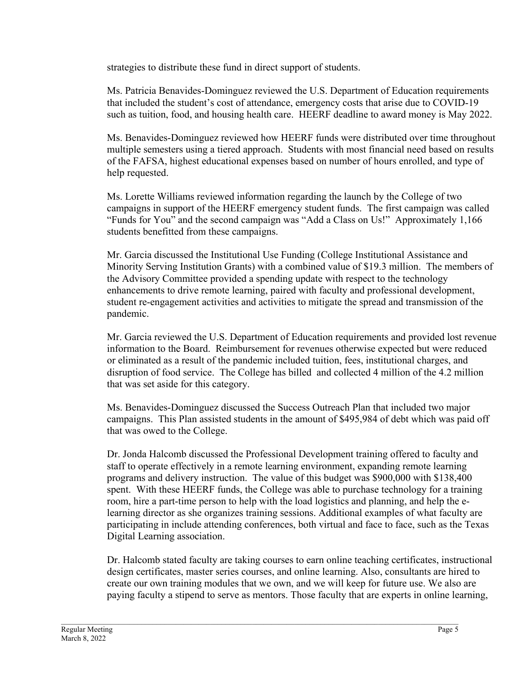strategies to distribute these fund in direct support of students.

Ms. Patricia Benavides-Dominguez reviewed the U.S. Department of Education requirements that included the student's cost of attendance, emergency costs that arise due to COVID-19 such as tuition, food, and housing health care. HEERF deadline to award money is May 2022.

Ms. Benavides-Dominguez reviewed how HEERF funds were distributed over time throughout multiple semesters using a tiered approach. Students with most financial need based on results of the FAFSA, highest educational expenses based on number of hours enrolled, and type of help requested.

Ms. Lorette Williams reviewed information regarding the launch by the College of two campaigns in support of the HEERF emergency student funds. The first campaign was called "Funds for You" and the second campaign was "Add a Class on Us!" Approximately 1,166 students benefitted from these campaigns.

Mr. Garcia discussed the Institutional Use Funding (College Institutional Assistance and Minority Serving Institution Grants) with a combined value of \$19.3 million. The members of the Advisory Committee provided a spending update with respect to the technology enhancements to drive remote learning, paired with faculty and professional development, student re-engagement activities and activities to mitigate the spread and transmission of the pandemic.

Mr. Garcia reviewed the U.S. Department of Education requirements and provided lost revenue information to the Board. Reimbursement for revenues otherwise expected but were reduced or eliminated as a result of the pandemic included tuition, fees, institutional charges, and disruption of food service. The College has billed and collected 4 million of the 4.2 million that was set aside for this category.

Ms. Benavides-Dominguez discussed the Success Outreach Plan that included two major campaigns. This Plan assisted students in the amount of \$495,984 of debt which was paid off that was owed to the College.

Dr. Jonda Halcomb discussed the Professional Development training offered to faculty and staff to operate effectively in a remote learning environment, expanding remote learning programs and delivery instruction. The value of this budget was \$900,000 with \$138,400 spent. With these HEERF funds, the College was able to purchase technology for a training room, hire a part-time person to help with the load logistics and planning, and help the elearning director as she organizes training sessions. Additional examples of what faculty are participating in include attending conferences, both virtual and face to face, such as the Texas Digital Learning association.

Dr. Halcomb stated faculty are taking courses to earn online teaching certificates, instructional design certificates, master series courses, and online learning. Also, consultants are hired to create our own training modules that we own, and we will keep for future use. We also are paying faculty a stipend to serve as mentors. Those faculty that are experts in online learning,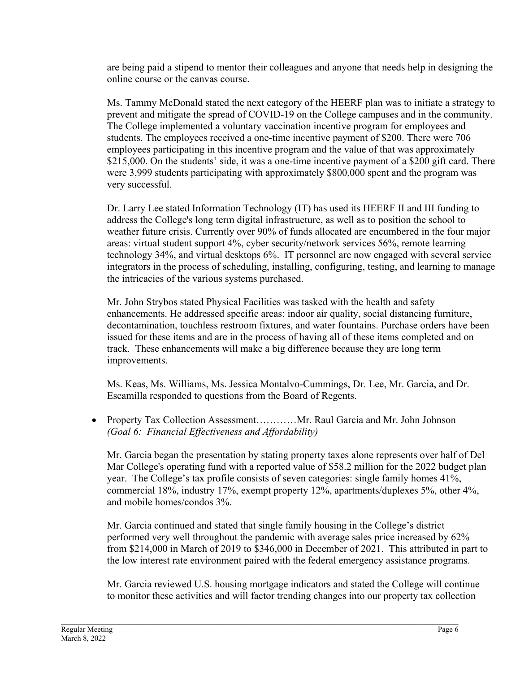are being paid a stipend to mentor their colleagues and anyone that needs help in designing the online course or the canvas course.

Ms. Tammy McDonald stated the next category of the HEERF plan was to initiate a strategy to prevent and mitigate the spread of COVID-19 on the College campuses and in the community. The College implemented a voluntary vaccination incentive program for employees and students. The employees received a one-time incentive payment of \$200. There were 706 employees participating in this incentive program and the value of that was approximately \$215,000. On the students' side, it was a one-time incentive payment of a \$200 gift card. There were 3,999 students participating with approximately \$800,000 spent and the program was very successful.

Dr. Larry Lee stated Information Technology (IT) has used its HEERF II and III funding to address the College's long term digital infrastructure, as well as to position the school to weather future crisis. Currently over 90% of funds allocated are encumbered in the four major areas: virtual student support 4%, cyber security/network services 56%, remote learning technology 34%, and virtual desktops 6%. IT personnel are now engaged with several service integrators in the process of scheduling, installing, configuring, testing, and learning to manage the intricacies of the various systems purchased.

Mr. John Strybos stated Physical Facilities was tasked with the health and safety enhancements. He addressed specific areas: indoor air quality, social distancing furniture, decontamination, touchless restroom fixtures, and water fountains. Purchase orders have been issued for these items and are in the process of having all of these items completed and on track. These enhancements will make a big difference because they are long term improvements.

Ms. Keas, Ms. Williams, Ms. Jessica Montalvo-Cummings, Dr. Lee, Mr. Garcia, and Dr. Escamilla responded to questions from the Board of Regents.

• Property Tax Collection Assessment.............Mr. Raul Garcia and Mr. John Johnson *(Goal 6: Financial Effectiveness and Affordability)* 

Mr. Garcia began the presentation by stating property taxes alone represents over half of Del Mar College's operating fund with a reported value of \$58.2 million for the 2022 budget plan year. The College's tax profile consists of seven categories: single family homes 41%, commercial 18%, industry 17%, exempt property 12%, apartments/duplexes 5%, other 4%, and mobile homes/condos 3%.

Mr. Garcia continued and stated that single family housing in the College's district performed very well throughout the pandemic with average sales price increased by 62% from \$214,000 in March of 2019 to \$346,000 in December of 2021. This attributed in part to the low interest rate environment paired with the federal emergency assistance programs.

Mr. Garcia reviewed U.S. housing mortgage indicators and stated the College will continue to monitor these activities and will factor trending changes into our property tax collection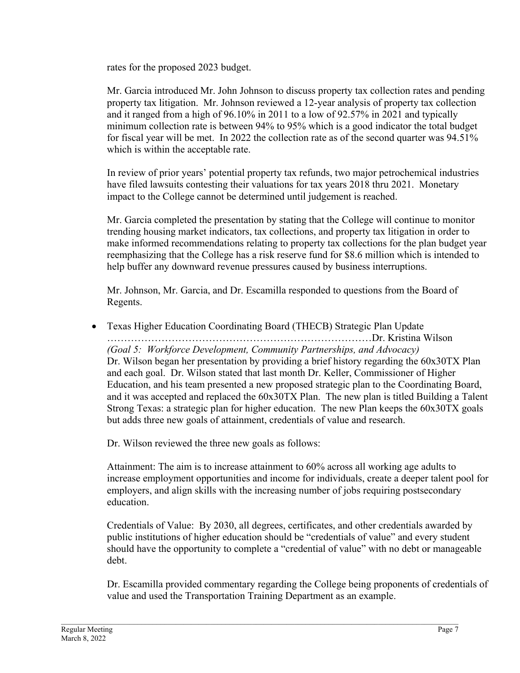rates for the proposed 2023 budget.

Mr. Garcia introduced Mr. John Johnson to discuss property tax collection rates and pending property tax litigation. Mr. Johnson reviewed a 12-year analysis of property tax collection and it ranged from a high of 96.10% in 2011 to a low of 92.57% in 2021 and typically minimum collection rate is between 94% to 95% which is a good indicator the total budget for fiscal year will be met. In 2022 the collection rate as of the second quarter was 94.51% which is within the acceptable rate.

In review of prior years' potential property tax refunds, two major petrochemical industries have filed lawsuits contesting their valuations for tax years 2018 thru 2021. Monetary impact to the College cannot be determined until judgement is reached.

Mr. Garcia completed the presentation by stating that the College will continue to monitor trending housing market indicators, tax collections, and property tax litigation in order to make informed recommendations relating to property tax collections for the plan budget year reemphasizing that the College has a risk reserve fund for \$8.6 million which is intended to help buffer any downward revenue pressures caused by business interruptions.

Mr. Johnson, Mr. Garcia, and Dr. Escamilla responded to questions from the Board of Regents.

• Texas Higher Education Coordinating Board (THECB) Strategic Plan Update ……………………………………………………………………Dr. Kristina Wilson *(Goal 5: Workforce Development, Community Partnerships, and Advocacy)*  Dr. Wilson began her presentation by providing a brief history regarding the 60x30TX Plan and each goal. Dr. Wilson stated that last month Dr. Keller, Commissioner of Higher Education, and his team presented a new proposed strategic plan to the Coordinating Board, and it was accepted and replaced the 60x30TX Plan. The new plan is titled Building a Talent Strong Texas: a strategic plan for higher education. The new Plan keeps the 60x30TX goals but adds three new goals of attainment, credentials of value and research.

Dr. Wilson reviewed the three new goals as follows:

Attainment: The aim is to increase attainment to 60% across all working age adults to increase employment opportunities and income for individuals, create a deeper talent pool for employers, and align skills with the increasing number of jobs requiring postsecondary education.

Credentials of Value: By 2030, all degrees, certificates, and other credentials awarded by public institutions of higher education should be "credentials of value" and every student should have the opportunity to complete a "credential of value" with no debt or manageable debt.

Dr. Escamilla provided commentary regarding the College being proponents of credentials of value and used the Transportation Training Department as an example.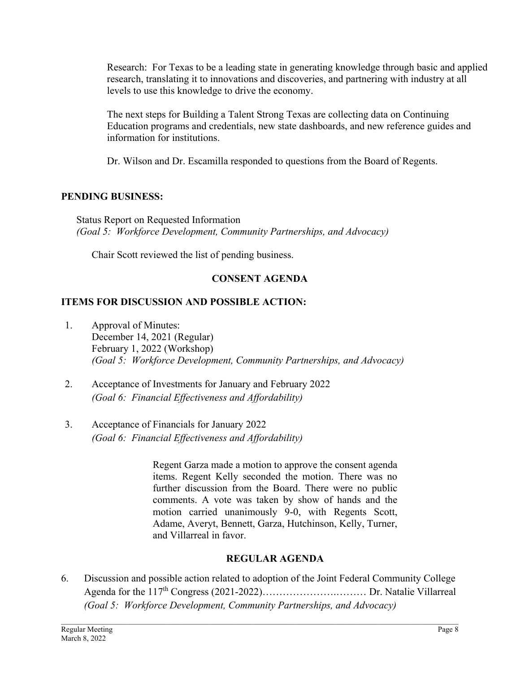Research: For Texas to be a leading state in generating knowledge through basic and applied research, translating it to innovations and discoveries, and partnering with industry at all levels to use this knowledge to drive the economy.

The next steps for Building a Talent Strong Texas are collecting data on Continuing Education programs and credentials, new state dashboards, and new reference guides and information for institutions.

Dr. Wilson and Dr. Escamilla responded to questions from the Board of Regents.

### **PENDING BUSINESS:**

 Status Report on Requested Information *(Goal 5: Workforce Development, Community Partnerships, and Advocacy)* 

Chair Scott reviewed the list of pending business.

# **CONSENT AGENDA**

# **ITEMS FOR DISCUSSION AND POSSIBLE ACTION:**

- 1. Approval of Minutes: December 14, 2021 (Regular) February 1, 2022 (Workshop)  *(Goal 5: Workforce Development, Community Partnerships, and Advocacy)*
- 2. Acceptance of Investments for January and February 2022 *(Goal 6: Financial Effectiveness and Affordability)*
- 3. Acceptance of Financials for January 2022 *(Goal 6: Financial Effectiveness and Affordability)*

Regent Garza made a motion to approve the consent agenda items. Regent Kelly seconded the motion. There was no further discussion from the Board. There were no public comments. A vote was taken by show of hands and the motion carried unanimously 9-0, with Regents Scott, Adame, Averyt, Bennett, Garza, Hutchinson, Kelly, Turner, and Villarreal in favor.

# **REGULAR AGENDA**

6. Discussion and possible action related to adoption of the Joint Federal Community College Agenda for the 117<sup>th</sup> Congress (2021-2022)…………………………… Dr. Natalie Villarreal *(Goal 5: Workforce Development, Community Partnerships, and Advocacy)*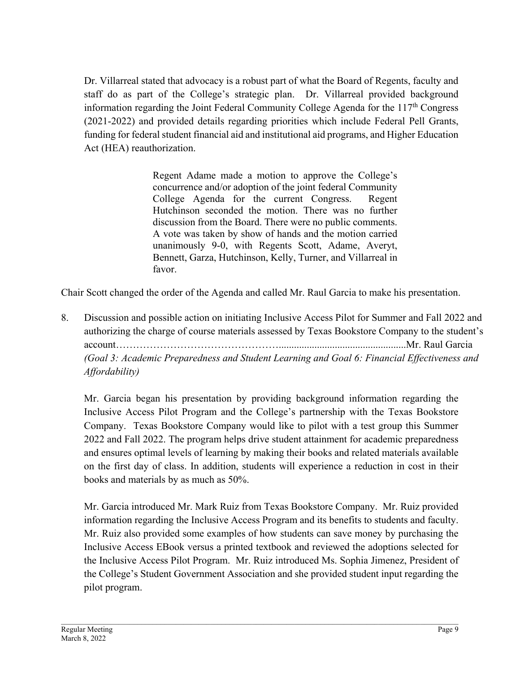Dr. Villarreal stated that advocacy is a robust part of what the Board of Regents, faculty and staff do as part of the College's strategic plan. Dr. Villarreal provided background information regarding the Joint Federal Community College Agenda for the  $117<sup>th</sup>$  Congress (2021-2022) and provided details regarding priorities which include Federal Pell Grants, funding for federal student financial aid and institutional aid programs, and Higher Education Act (HEA) reauthorization.

> Regent Adame made a motion to approve the College's concurrence and/or adoption of the joint federal Community College Agenda for the current Congress. Regent Hutchinson seconded the motion. There was no further discussion from the Board. There were no public comments. A vote was taken by show of hands and the motion carried unanimously 9-0, with Regents Scott, Adame, Averyt, Bennett, Garza, Hutchinson, Kelly, Turner, and Villarreal in favor.

Chair Scott changed the order of the Agenda and called Mr. Raul Garcia to make his presentation.

8. Discussion and possible action on initiating Inclusive Access Pilot for Summer and Fall 2022 and authorizing the charge of course materials assessed by Texas Bookstore Company to the student's account…………………………………………..................................................Mr. Raul Garcia *(Goal 3: Academic Preparedness and Student Learning and Goal 6: Financial Effectiveness and Affordability)* 

Mr. Garcia began his presentation by providing background information regarding the Inclusive Access Pilot Program and the College's partnership with the Texas Bookstore Company. Texas Bookstore Company would like to pilot with a test group this Summer 2022 and Fall 2022. The program helps drive student attainment for academic preparedness and ensures optimal levels of learning by making their books and related materials available on the first day of class. In addition, students will experience a reduction in cost in their books and materials by as much as 50%.

Mr. Garcia introduced Mr. Mark Ruiz from Texas Bookstore Company. Mr. Ruiz provided information regarding the Inclusive Access Program and its benefits to students and faculty. Mr. Ruiz also provided some examples of how students can save money by purchasing the Inclusive Access EBook versus a printed textbook and reviewed the adoptions selected for the Inclusive Access Pilot Program. Mr. Ruiz introduced Ms. Sophia Jimenez, President of the College's Student Government Association and she provided student input regarding the pilot program.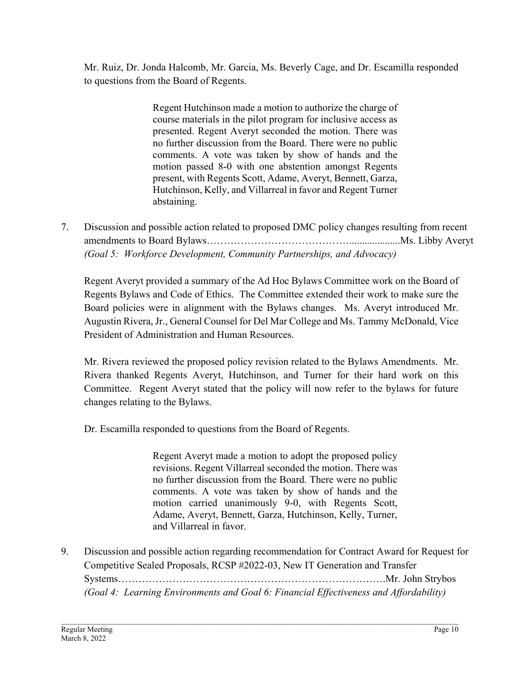Mr. Ruiz, Dr. Jonda Halcomb, Mr. Garcia, Ms. Beverly Cage, and Dr. Escamilla responded to questions from the Board of Regents.

> Regent Hutchinson made a motion to authorize the charge of course materials in the pilot program for inclusive access as presented. Regent Averyt seconded the motion. There was no further discussion from the Board. There were no public comments. A vote was taken by show of hands and the motion passed 8-0 with one abstention amongst Regents present, with Regents Scott, Adame, Averyt, Bennett, Garza, Hutchinson, Kelly, and Villarreal in favor and Regent Turner abstaining.

7. Discussion and possible action related to proposed DMC policy changes resulting from recent amendments to Board Bylaws……………………………………....................Ms. Libby Averyt *(Goal 5: Workforce Development, Community Partnerships, and Advocacy)*

Regent Averyt provided a summary of the Ad Hoc Bylaws Committee work on the Board of Regents Bylaws and Code of Ethics. The Committee extended their work to make sure the Board policies were in alignment with the Bylaws changes. Ms. Averyt introduced Mr. Augustin Rivera, Jr., General Counsel for Del Mar College and Ms. Tammy McDonald, Vice President of Administration and Human Resources.

Mr. Rivera reviewed the proposed policy revision related to the Bylaws Amendments. Mr. Rivera thanked Regents Averyt, Hutchinson, and Turner for their hard work on this Committee. Regent Averyt stated that the policy will now refer to the bylaws for future changes relating to the Bylaws.

Dr. Escamilla responded to questions from the Board of Regents.

Regent Averyt made a motion to adopt the proposed policy revisions. Regent Villarreal seconded the motion. There was no further discussion from the Board. There were no public comments. A vote was taken by show of hands and the motion carried unanimously 9-0, with Regents Scott, Adame, Averyt, Bennett, Garza, Hutchinson, Kelly, Turner, and Villarreal in favor.

9. Discussion and possible action regarding recommendation for Contract Award for Request for Competitive Sealed Proposals, RCSP #2022-03, New IT Generation and Transfer Systems…………………………………………………………………….Mr. John Strybos *(Goal 4: Learning Environments and Goal 6: Financial Effectiveness and Affordability)*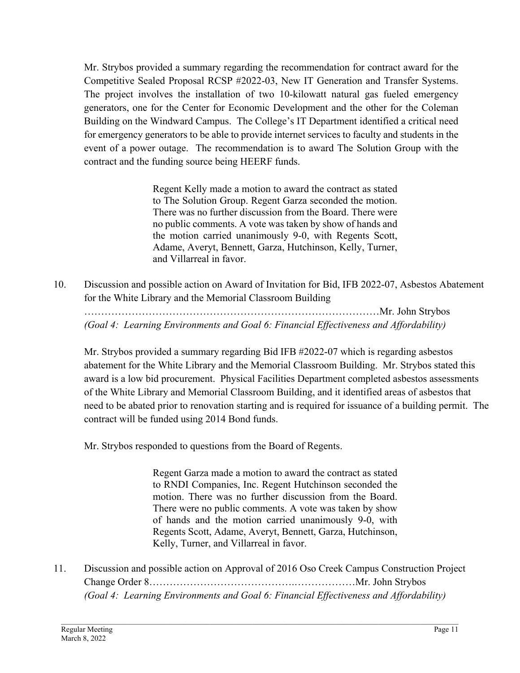Mr. Strybos provided a summary regarding the recommendation for contract award for the Competitive Sealed Proposal RCSP #2022-03, New IT Generation and Transfer Systems. The project involves the installation of two 10-kilowatt natural gas fueled emergency generators, one for the Center for Economic Development and the other for the Coleman Building on the Windward Campus. The College's IT Department identified a critical need for emergency generators to be able to provide internet services to faculty and students in the event of a power outage. The recommendation is to award The Solution Group with the contract and the funding source being HEERF funds.

> Regent Kelly made a motion to award the contract as stated to The Solution Group. Regent Garza seconded the motion. There was no further discussion from the Board. There were no public comments. A vote was taken by show of hands and the motion carried unanimously 9-0, with Regents Scott, Adame, Averyt, Bennett, Garza, Hutchinson, Kelly, Turner, and Villarreal in favor.

10. Discussion and possible action on Award of Invitation for Bid, IFB 2022-07, Asbestos Abatement for the White Library and the Memorial Classroom Building

 ……………………………………………………………………………Mr. John Strybos *(Goal 4: Learning Environments and Goal 6: Financial Effectiveness and Affordability)* 

Mr. Strybos provided a summary regarding Bid IFB #2022-07 which is regarding asbestos abatement for the White Library and the Memorial Classroom Building. Mr. Strybos stated this award is a low bid procurement. Physical Facilities Department completed asbestos assessments of the White Library and Memorial Classroom Building, and it identified areas of asbestos that need to be abated prior to renovation starting and is required for issuance of a building permit. The contract will be funded using 2014 Bond funds.

Mr. Strybos responded to questions from the Board of Regents.

Regent Garza made a motion to award the contract as stated to RNDI Companies, Inc. Regent Hutchinson seconded the motion. There was no further discussion from the Board. There were no public comments. A vote was taken by show of hands and the motion carried unanimously 9-0, with Regents Scott, Adame, Averyt, Bennett, Garza, Hutchinson, Kelly, Turner, and Villarreal in favor.

11. Discussion and possible action on Approval of 2016 Oso Creek Campus Construction Project Change Order 8…………………………………….………………Mr. John Strybos *(Goal 4: Learning Environments and Goal 6: Financial Effectiveness and Affordability)*